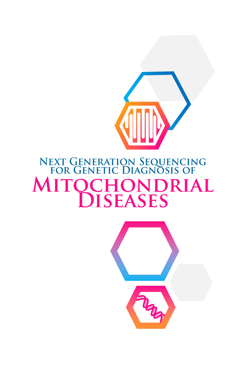

# **NEXT GENERATION SEQUENCING<br>FOR GENETIC DIAGNOSIS OF MITO** DRIAL CHON **JISEASES**

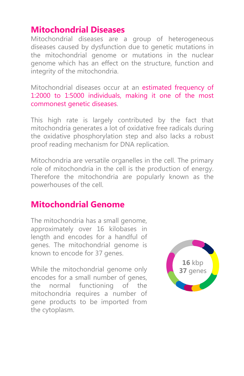### **Mitochondrial Diseases**

Mitochondrial diseases are a group of heterogeneous diseases caused by dysfunction due to genetic mutations in the mitochondrial genome or mutations in the nuclear genome which has an effect on the structure, function and integrity of the mitochondria.

Mitochondrial diseases occur at an estimated frequency of 1:2000 to 1:5000 individuals, making it one of the most commonest genetic diseases.

This high rate is largely contributed by the fact that mitochondria generates a lot of oxidative free radicals during the oxidative phosphorylation step and also lacks a robust proof reading mechanism for DNA replication.

Mitochondria are versatile organelles in the cell. The primary role of mitochondria in the cell is the production of energy. Therefore the mitochondria are popularly known as the powerhouses of the cell.

### **Mitochondrial Genome**

The mitochondria has a small genome, approximately over 16 kilobases in length and encodes for a handful of genes. The mitochondrial genome is known to encode for 37 genes.

While the mitochondrial genome only encodes for a small number of genes, the normal functioning of the mitochondria requires a number of gene products to be imported from the cytoplasm.

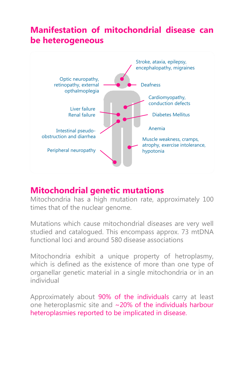# **Manifestation of mitochondrial disease can be heterogeneous**



### **Mitochondrial genetic mutations**

Mitochondria has a high mutation rate, approximately 100 times that of the nuclear genome.

Mutations which cause mitochondrial diseases are very well studied and catalogued. This encompass approx. 73 mtDNA functional loci and around 580 disease associations

Mitochondria exhibit a unique property of hetroplasmy, which is defined as the existence of more than one type of organellar genetic material in a single mitochondria or in an individual

Approximately about 90% of the individuals carry at least one heteroplasmic site and ~20% of the individuals harbour heteroplasmies reported to be implicated in disease.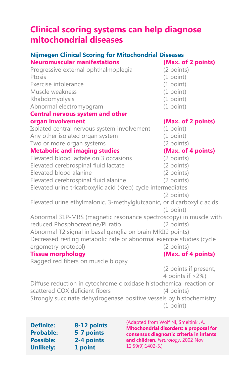## **Clinical scoring systems can help diagnose mitochondrial diseases**

### **Nijmegen Clinical Scoring for Mitochondrial Diseases**

| <b>Neuromuscular manifestations</b>                                    | (Max. of 2 points)    |
|------------------------------------------------------------------------|-----------------------|
| Progressive external ophthalmoplegia                                   | (2 points)            |
| Ptosis                                                                 | (1 point)             |
| Exercise intolerance                                                   | $(1$ point)           |
| Muscle weakness                                                        | (1 point)             |
| Rhabdomyolysis                                                         | (1 point)             |
| Abnormal electromyogram                                                | (1 point)             |
| <b>Central nervous system and other</b>                                |                       |
| organ involvement                                                      | (Max. of 2 points)    |
| Isolated central nervous system involvement                            | (1 point)             |
| Any other isolated organ system                                        | (1 point)             |
| Two or more organ systems                                              | (2 points)            |
| <b>Metabolic and imaging studies</b>                                   | (Max. of 4 points)    |
| Elevated blood lactate on 3 occasions                                  | (2 points)            |
| Elevated cerebrospinal fluid lactate                                   | (2 points)            |
| Elevated blood alanine                                                 | (2 points)            |
| Elevated cerebrospinal fluid alanine                                   | (2 points)            |
| Elevated urine tricarboxylic acid (Kreb) cycle intermediates           |                       |
|                                                                        | (2 points)            |
| Elevated urine ethylmalonic, 3-methylglutcaonic, or dicarboxylic acids | $(1$ point)           |
| Abnormal 31P-MRS (magnetic resonance spectroscopy) in muscle with      |                       |
| reduced Phosphocreatine/Pi ratio                                       | $(2$ points)          |
| Abnormal T2 signal in basal ganglia on brain MRI(2 points)             |                       |
| Decreased resting metabolic rate or abnormal exercise studies (cycle   |                       |
| ergometry protocol)                                                    | (2 points)            |
| <b>Tissue morphology</b>                                               | (Max. of 4 points)    |
| Ragged red fibers on muscle biopsy                                     |                       |
|                                                                        | (2 points if present, |
|                                                                        | 4 points if $>2\%)$   |
| Diffuse reduction in cytochrome c oxidase histochemical reaction or    |                       |
| scattered COX deficient fibers                                         | (4 points)            |

Strongly succinate dehydrogenase positive vessels by histochemistry (1 point)

**Definite: 8-12 points Probable: 5-7 points Possible: 2-4 points Unlikely: 1 point**

(Adapted from Wolf NI, Smeitink JA. **Mitochondrial disorders: a proposal for consensus diagnostic criteria in infants and children**. *Neurology*. 2002 Nov 12;59(9):1402-5.)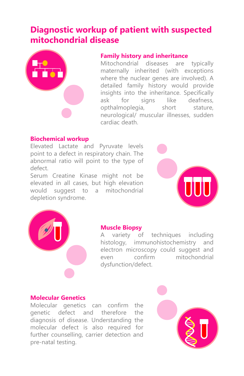## **Diagnostic workup of patient with suspected mitochondrial disease**



### **Family history and inheritance**

Mitochondrial diseases are typically maternally inherited (with exceptions where the nuclear genes are involved). A detailed family history would provide insights into the inheritance. Specifically ask for signs like deafness, opthalmoplegia, short stature, neurological/ muscular illnesses, sudden cardiac death.

### **Biochemical workup**

Elevated Lactate and Pyruvate levels point to a defect in respiratory chain. The abnormal ratio will point to the type of defect.

Serum Creatine Kinase might not be elevated in all cases, but high elevation would suggest to a mitochondrial depletion syndrome.





#### **Muscle Biopsy**

A variety of techniques including histology, immunohistochemistry and electron microscopy could suggest and even confirm mitochondrial dysfunction/defect.

#### **Molecular Genetics**

Molecular genetics can confirm the genetic defect and therefore the diagnosis of disease. Understanding the molecular defect is also required for further counselling, carrier detection and pre-natal testing.

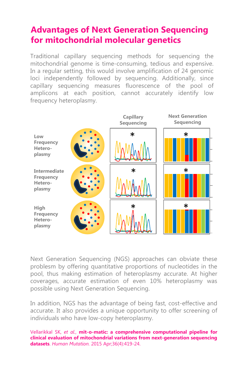## **Advantages of Next Generation Sequencing for mitochondrial molecular genetics**

Traditional capillary sequencing methods for sequencing the mitochondrial genome is time-consuming, tedious and expensive. In a regular setting, this would involve amplification of 24 genomic loci independently followed by sequencing. Additionally, since capillary sequencing measures fluorescence of the pool of amplicons at each position, cannot accurately identify low frequency heteroplasmy.



Next Generation Sequencing (NGS) approaches can obviate these problesm by offering quantitative proportions of nucleotides in the pool, thus making estimation of heteroplasmy accurate. At higher coverages, accurate estimation of even 10% heteroplasmy was possible using Next Generation Sequencing.

In addition, NGS has the advantage of being fast, cost-effective and accurate. It also provides a unique opportunity to offer screening of individuals who have low-copy heteroplasmy.

Vellarikkal SK, *et al.*, **mit-o-matic: a comprehensive computational pipeline for clinical evaluation of mitochondrial variations from next-generation sequencing datasets**. *Human Mutation.* 2015 Apr;36(4):419-24.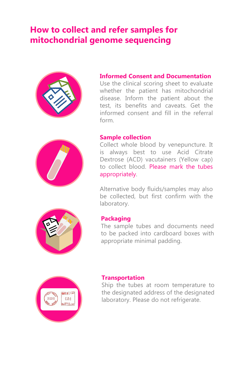## **How to collect and refer samples for mitochondrial genome sequencing**



### **Informed Consent and Documentation**

Use the clinical scoring sheet to evaluate whether the patient has mitochondrial disease. Inform the patient about the test, its benefits and caveats. Get the informed consent and fill in the referral form.



#### **Sample collection**

Collect whole blood by venepuncture. It is always best to use Acid Citrate Dextrose (ACD) vacutainers (Yellow cap) to collect blood. Please mark the tubes appropriately.

Alternative body fluids/samples may also be collected, but first confirm with the laboratory.



#### **Packaging**

The sample tubes and documents need to be packed into cardboard boxes with appropriate minimal padding.



#### **Transportation**

Ship the tubes at room temperature to the designated address of the designated laboratory. Please do not refrigerate.